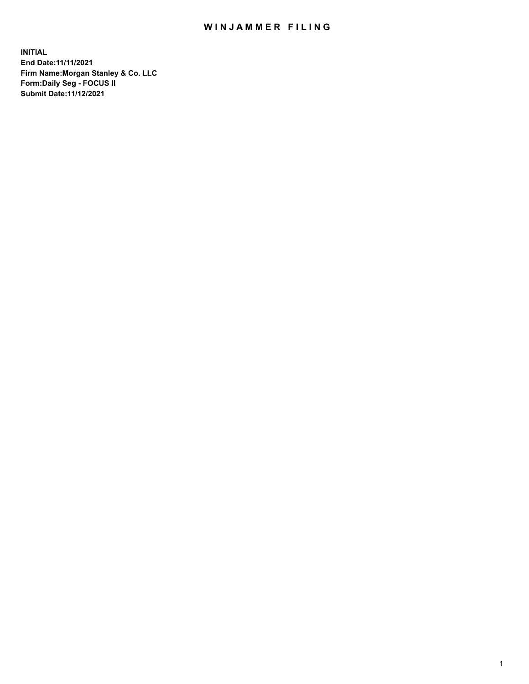## WIN JAMMER FILING

**INITIAL End Date:11/11/2021 Firm Name:Morgan Stanley & Co. LLC Form:Daily Seg - FOCUS II Submit Date:11/12/2021**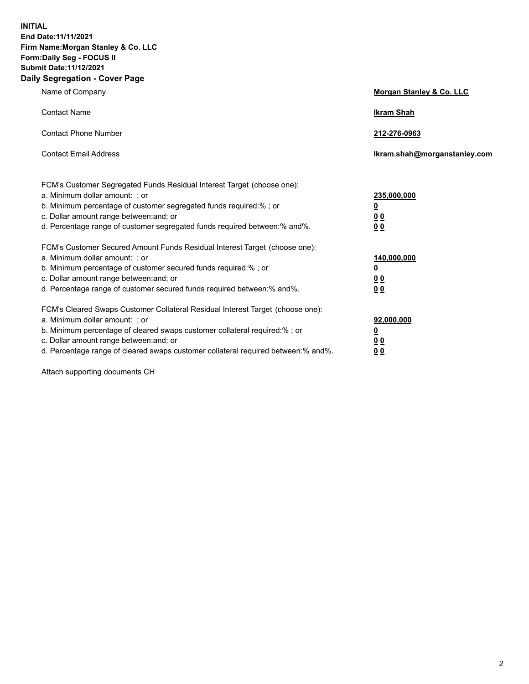**INITIAL End Date:11/11/2021 Firm Name:Morgan Stanley & Co. LLC Form:Daily Seg - FOCUS II Submit Date:11/12/2021 Daily Segregation - Cover Page**

| Name of Company                                                                                                                                                                                                                                                                                                                | Morgan Stanley & Co. LLC                                |
|--------------------------------------------------------------------------------------------------------------------------------------------------------------------------------------------------------------------------------------------------------------------------------------------------------------------------------|---------------------------------------------------------|
| <b>Contact Name</b>                                                                                                                                                                                                                                                                                                            | <b>Ikram Shah</b>                                       |
| <b>Contact Phone Number</b>                                                                                                                                                                                                                                                                                                    | 212-276-0963                                            |
| <b>Contact Email Address</b>                                                                                                                                                                                                                                                                                                   | Ikram.shah@morganstanley.com                            |
| FCM's Customer Segregated Funds Residual Interest Target (choose one):<br>a. Minimum dollar amount: ; or<br>b. Minimum percentage of customer segregated funds required:% ; or<br>c. Dollar amount range between: and; or<br>d. Percentage range of customer segregated funds required between:% and%.                         | 235,000,000<br><u>0</u><br>0 <sup>0</sup><br>00         |
| FCM's Customer Secured Amount Funds Residual Interest Target (choose one):<br>a. Minimum dollar amount: ; or<br>b. Minimum percentage of customer secured funds required:%; or<br>c. Dollar amount range between: and; or<br>d. Percentage range of customer secured funds required between:% and%.                            | 140,000,000<br><u>0</u><br><u>0 0</u><br>0 <sub>0</sub> |
| FCM's Cleared Swaps Customer Collateral Residual Interest Target (choose one):<br>a. Minimum dollar amount: ; or<br>b. Minimum percentage of cleared swaps customer collateral required:% ; or<br>c. Dollar amount range between: and; or<br>d. Percentage range of cleared swaps customer collateral required between:% and%. | 92,000,000<br><u>0</u><br><u>00</u><br>0 <sub>0</sub>   |

Attach supporting documents CH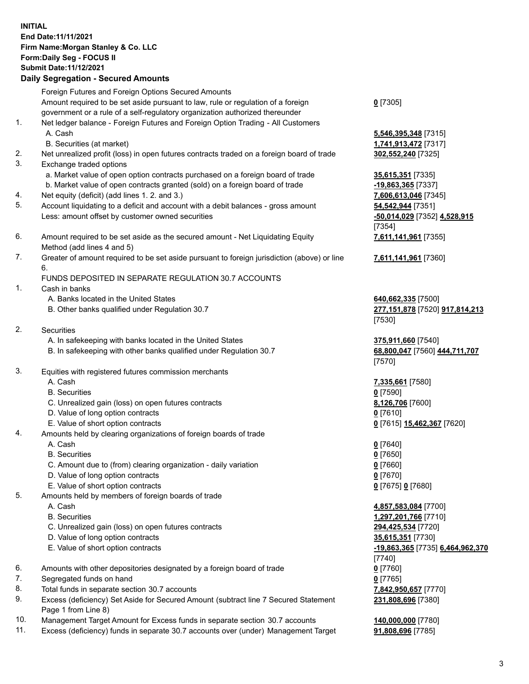## **INITIAL End Date:11/11/2021 Firm Name:Morgan Stanley & Co. LLC Form:Daily Seg - FOCUS II Submit Date:11/12/2021**

## **Daily Segregation - Secured Amounts**

Foreign Futures and Foreign Options Secured Amounts Amount required to be set aside pursuant to law, rule or regulation of a foreign government or a rule of a self-regulatory organization authorized thereunder 1. Net ledger balance - Foreign Futures and Foreign Option Trading - All Customers A. Cash **5,546,395,348** [7315] B. Securities (at market) **1,741,913,472** [7317] 2. Net unrealized profit (loss) in open futures contracts traded on a foreign board of trade **302,552,240** [7325] 3. Exchange traded options a. Market value of open option contracts purchased on a foreign board of trade **35,615,351** [7335] b. Market value of open contracts granted (sold) on a foreign board of trade **-19,863,365** [7337] 4. Net equity (deficit) (add lines 1. 2. and 3.) **7,606,613,046** [7345] 5. Account liquidating to a deficit and account with a debit balances - gross amount **54,542,944** [7351] Less: amount offset by customer owned securities **-50,014,029** [7352] **4,528,915** 6. Amount required to be set aside as the secured amount - Net Liquidating Equity Method (add lines 4 and 5) 7. Greater of amount required to be set aside pursuant to foreign jurisdiction (above) or line 6. FUNDS DEPOSITED IN SEPARATE REGULATION 30.7 ACCOUNTS 1. Cash in banks A. Banks located in the United States **640,662,335** [7500] B. Other banks qualified under Regulation 30.7 **277,151,878** [7520] **917,814,213** 2. Securities A. In safekeeping with banks located in the United States **375,911,660** [7540] B. In safekeeping with other banks qualified under Regulation 30.7 **68,800,047** [7560] **444,711,707** 3. Equities with registered futures commission merchants A. Cash **7,335,661** [7580] B. Securities **0** [7590] C. Unrealized gain (loss) on open futures contracts **8,126,706** [7600] D. Value of long option contracts **0** [7610] E. Value of short option contracts **0** [7615] **15,462,367** [7620] 4. Amounts held by clearing organizations of foreign boards of trade

- 
- B. Securities **0** [7650]
- C. Amount due to (from) clearing organization daily variation **0** [7660]
- D. Value of long option contracts **0** [7670]
- E. Value of short option contracts **0** [7675] **0** [7680]
- 5. Amounts held by members of foreign boards of trade
	-
	-
	- C. Unrealized gain (loss) on open futures contracts **294,425,534** [7720]
	- D. Value of long option contracts **35,615,351** [7730]
	-
- 6. Amounts with other depositories designated by a foreign board of trade **0** [7760]
- 7. Segregated funds on hand **0** [7765]
- 8. Total funds in separate section 30.7 accounts **7,842,950,657** [7770]
- 9. Excess (deficiency) Set Aside for Secured Amount (subtract line 7 Secured Statement Page 1 from Line 8)
- 10. Management Target Amount for Excess funds in separate section 30.7 accounts **140,000,000** [7780]
- 11. Excess (deficiency) funds in separate 30.7 accounts over (under) Management Target **91,808,696** [7785]

**0** [7305]

[7354] **7,611,141,961** [7355]

**7,611,141,961** [7360]

[7530]

[7570]

A. Cash **0** [7640]

 A. Cash **4,857,583,084** [7700] B. Securities **1,297,201,766** [7710] E. Value of short option contracts **-19,863,365** [7735] **6,464,962,370** [7740] **231,808,696** [7380]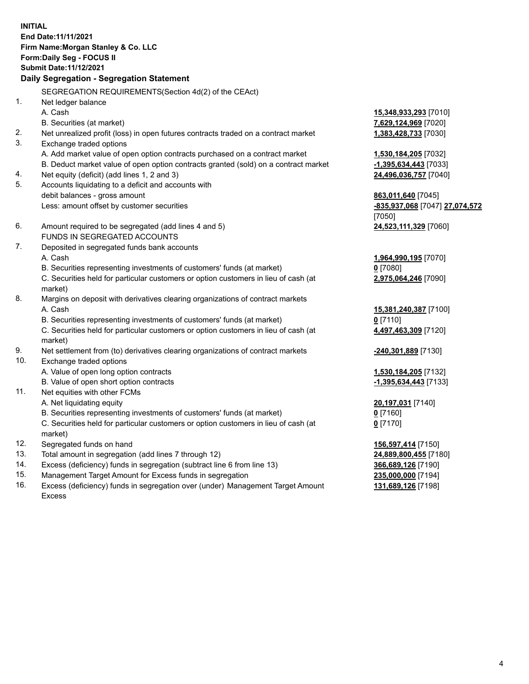**INITIAL End Date:11/11/2021 Firm Name:Morgan Stanley & Co. LLC Form:Daily Seg - FOCUS II Submit Date:11/12/2021 Daily Segregation - Segregation Statement** SEGREGATION REQUIREMENTS(Section 4d(2) of the CEAct) 1. Net ledger balance A. Cash **15,348,933,293** [7010] B. Securities (at market) **7,629,124,969** [7020] 2. Net unrealized profit (loss) in open futures contracts traded on a contract market **1,383,428,733** [7030] 3. Exchange traded options A. Add market value of open option contracts purchased on a contract market **1,530,184,205** [7032] B. Deduct market value of open option contracts granted (sold) on a contract market **-1,395,634,443** [7033] 4. Net equity (deficit) (add lines 1, 2 and 3) **24,496,036,757** [7040] 5. Accounts liquidating to a deficit and accounts with debit balances - gross amount **863,011,640** [7045] Less: amount offset by customer securities **-835,937,068** [7047] **27,074,572** [7050] 6. Amount required to be segregated (add lines 4 and 5) **24,523,111,329** [7060] FUNDS IN SEGREGATED ACCOUNTS 7. Deposited in segregated funds bank accounts A. Cash **1,964,990,195** [7070] B. Securities representing investments of customers' funds (at market) **0** [7080] C. Securities held for particular customers or option customers in lieu of cash (at market) **2,975,064,246** [7090] 8. Margins on deposit with derivatives clearing organizations of contract markets A. Cash **15,381,240,387** [7100] B. Securities representing investments of customers' funds (at market) **0** [7110] C. Securities held for particular customers or option customers in lieu of cash (at market) **4,497,463,309** [7120] 9. Net settlement from (to) derivatives clearing organizations of contract markets **-240,301,889** [7130] 10. Exchange traded options A. Value of open long option contracts **1,530,184,205** [7132] B. Value of open short option contracts **and the set of our of the set of our of the set of our of the set of the set of the set of the set of the set of the set of the set of the set of the set of the set of the set of th** 11. Net equities with other FCMs A. Net liquidating equity **20,197,031** [7140] B. Securities representing investments of customers' funds (at market) **0** [7160] C. Securities held for particular customers or option customers in lieu of cash (at market) **0** [7170] 12. Segregated funds on hand **156,597,414** [7150] 13. Total amount in segregation (add lines 7 through 12) **24,889,800,455** [7180] 14. Excess (deficiency) funds in segregation (subtract line 6 from line 13) **366,689,126** [7190]

- 15. Management Target Amount for Excess funds in segregation **235,000,000** [7194]
- 16. Excess (deficiency) funds in segregation over (under) Management Target Amount Excess

**131,689,126** [7198]